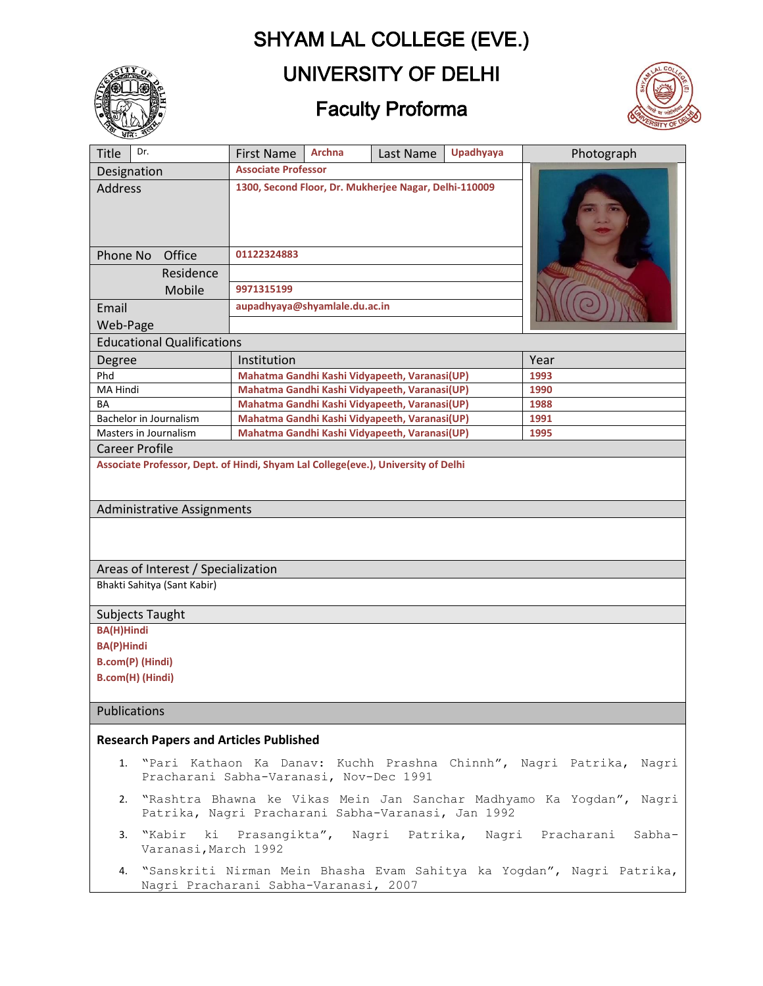# SHYAM LAL COLLEGE (EVE.)



### UNIVERSITY OF DELHI

# Faculty Proforma



| <b>Title</b>                                  | Dr.                                                                               | <b>First Name</b>                                                                                                             | <b>Archna</b>                                         | Last Name                                     | <b>Upadhyaya</b> | Photograph                                                               |  |  |  |  |
|-----------------------------------------------|-----------------------------------------------------------------------------------|-------------------------------------------------------------------------------------------------------------------------------|-------------------------------------------------------|-----------------------------------------------|------------------|--------------------------------------------------------------------------|--|--|--|--|
|                                               |                                                                                   | <b>Associate Professor</b>                                                                                                    |                                                       |                                               |                  |                                                                          |  |  |  |  |
| Designation<br>Address                        |                                                                                   | 1300, Second Floor, Dr. Mukherjee Nagar, Delhi-110009                                                                         |                                                       |                                               |                  |                                                                          |  |  |  |  |
| Phone No                                      | Office                                                                            | 01122324883                                                                                                                   |                                                       |                                               |                  |                                                                          |  |  |  |  |
|                                               | Residence                                                                         |                                                                                                                               |                                                       |                                               |                  |                                                                          |  |  |  |  |
|                                               | Mobile                                                                            | 9971315199                                                                                                                    |                                                       |                                               |                  |                                                                          |  |  |  |  |
| Email                                         |                                                                                   | aupadhyaya@shyamlale.du.ac.in                                                                                                 |                                                       |                                               |                  |                                                                          |  |  |  |  |
| Web-Page                                      |                                                                                   |                                                                                                                               |                                                       |                                               |                  |                                                                          |  |  |  |  |
|                                               | <b>Educational Qualifications</b>                                                 |                                                                                                                               |                                                       |                                               |                  |                                                                          |  |  |  |  |
| Degree                                        |                                                                                   | Institution                                                                                                                   |                                                       |                                               |                  | Year                                                                     |  |  |  |  |
| Phd                                           |                                                                                   |                                                                                                                               |                                                       | Mahatma Gandhi Kashi Vidyapeeth, Varanasi(UP) |                  | 1993                                                                     |  |  |  |  |
| MA Hindi                                      | Mahatma Gandhi Kashi Vidyapeeth, Varanasi(UP)                                     |                                                                                                                               |                                                       |                                               |                  | 1990                                                                     |  |  |  |  |
| BA                                            |                                                                                   |                                                                                                                               |                                                       | Mahatma Gandhi Kashi Vidyapeeth, Varanasi(UP) |                  | 1988                                                                     |  |  |  |  |
|                                               | Bachelor in Journalism<br>Masters in Journalism                                   |                                                                                                                               | Mahatma Gandhi Kashi Vidyapeeth, Varanasi(UP)<br>1991 |                                               |                  |                                                                          |  |  |  |  |
| <b>Career Profile</b>                         |                                                                                   |                                                                                                                               | Mahatma Gandhi Kashi Vidyapeeth, Varanasi(UP)         |                                               |                  | 1995                                                                     |  |  |  |  |
|                                               | Associate Professor, Dept. of Hindi, Shyam Lal College(eve.), University of Delhi |                                                                                                                               |                                                       |                                               |                  |                                                                          |  |  |  |  |
| Administrative Assignments                    |                                                                                   |                                                                                                                               |                                                       |                                               |                  |                                                                          |  |  |  |  |
|                                               | Areas of Interest / Specialization                                                |                                                                                                                               |                                                       |                                               |                  |                                                                          |  |  |  |  |
|                                               | Bhakti Sahitya (Sant Kabir)                                                       |                                                                                                                               |                                                       |                                               |                  |                                                                          |  |  |  |  |
|                                               |                                                                                   |                                                                                                                               |                                                       |                                               |                  |                                                                          |  |  |  |  |
|                                               | Subjects Taught                                                                   |                                                                                                                               |                                                       |                                               |                  |                                                                          |  |  |  |  |
| <b>BA(H)Hindi</b>                             |                                                                                   |                                                                                                                               |                                                       |                                               |                  |                                                                          |  |  |  |  |
| <b>BA(P)Hindi</b>                             |                                                                                   |                                                                                                                               |                                                       |                                               |                  |                                                                          |  |  |  |  |
| B.com(P) (Hindi)                              |                                                                                   |                                                                                                                               |                                                       |                                               |                  |                                                                          |  |  |  |  |
| B.com(H) (Hindi)                              |                                                                                   |                                                                                                                               |                                                       |                                               |                  |                                                                          |  |  |  |  |
| Publications                                  |                                                                                   |                                                                                                                               |                                                       |                                               |                  |                                                                          |  |  |  |  |
| <b>Research Papers and Articles Published</b> |                                                                                   |                                                                                                                               |                                                       |                                               |                  |                                                                          |  |  |  |  |
|                                               | Pracharani Sabha-Varanasi, Nov-Dec 1991                                           |                                                                                                                               |                                                       |                                               |                  | 1. "Pari Kathaon Ka Danav: Kuchh Prashna Chinnh", Nagri Patrika, Nagri   |  |  |  |  |
|                                               |                                                                                   | 2. "Rashtra Bhawna ke Vikas Mein Jan Sanchar Madhyamo Ka Yogdan", Nagri<br>Patrika, Nagri Pracharani Sabha-Varanasi, Jan 1992 |                                                       |                                               |                  |                                                                          |  |  |  |  |
|                                               | 3. "Kabir ki<br>Varanasi, March 1992                                              | Prasangikta", Nagri Patrika, Nagri Pracharani<br>Sabha-                                                                       |                                                       |                                               |                  |                                                                          |  |  |  |  |
|                                               | Nagri Pracharani Sabha-Varanasi, 2007                                             |                                                                                                                               |                                                       |                                               |                  | 4. "Sanskriti Nirman Mein Bhasha Evam Sahitya ka Yogdan", Nagri Patrika, |  |  |  |  |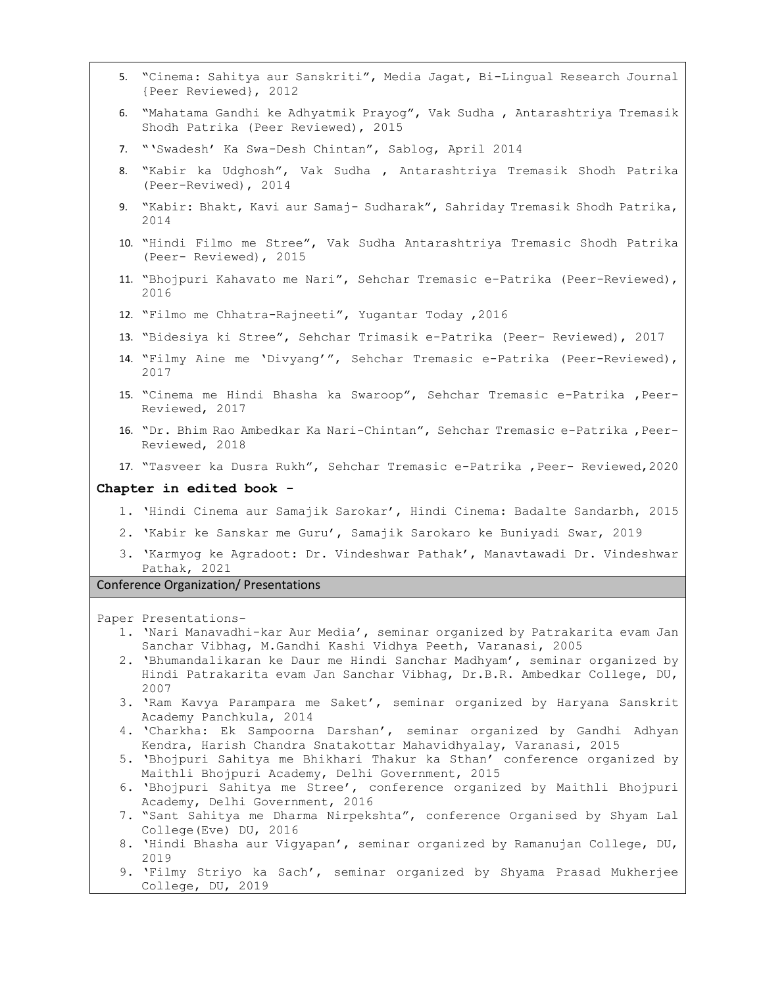|                       | 5. "Cinema: Sahitya aur Sanskriti", Media Jagat, Bi-Lingual Research Journal |  |  |
|-----------------------|------------------------------------------------------------------------------|--|--|
| {Peer Reviewed}, 2012 |                                                                              |  |  |

- 6. "Mahatama Gandhi ke Adhyatmik Prayog", Vak Sudha , Antarashtriya Tremasik Shodh Patrika (Peer Reviewed), 2015
- 7. "'Swadesh' Ka Swa-Desh Chintan", Sablog, April 2014
- 8. "Kabir ka Udghosh", Vak Sudha , Antarashtriya Tremasik Shodh Patrika (Peer-Reviwed), 2014
- 9. "Kabir: Bhakt, Kavi aur Samaj- Sudharak", Sahriday Tremasik Shodh Patrika, 2014
- 10. "Hindi Filmo me Stree", Vak Sudha Antarashtriya Tremasic Shodh Patrika (Peer- Reviewed), 2015
- 11. "Bhojpuri Kahavato me Nari", Sehchar Tremasic e-Patrika (Peer-Reviewed), 2016
- 12. "Filmo me Chhatra-Rajneeti", Yugantar Today ,2016
- 13. "Bidesiya ki Stree", Sehchar Trimasik e-Patrika (Peer- Reviewed), 2017
- 14. "Filmy Aine me 'Divyang'", Sehchar Tremasic e-Patrika (Peer-Reviewed), 2017
- 15. "Cinema me Hindi Bhasha ka Swaroop", Sehchar Tremasic e-Patrika ,Peer-Reviewed, 2017
- 16. "Dr. Bhim Rao Ambedkar Ka Nari-Chintan", Sehchar Tremasic e-Patrika ,Peer-Reviewed, 2018
- 17. "Tasveer ka Dusra Rukh", Sehchar Tremasic e-Patrika , Peer- Reviewed, 2020

#### **Chapter in edited book -**

- 1. 'Hindi Cinema aur Samajik Sarokar', Hindi Cinema: Badalte Sandarbh, 2015
- 2. 'Kabir ke Sanskar me Guru', Samajik Sarokaro ke Buniyadi Swar, 2019
- 3. 'Karmyog ke Agradoot: Dr. Vindeshwar Pathak', Manavtawadi Dr. Vindeshwar Pathak, 2021

#### Conference Organization/ Presentations

Paper Presentations-

- 1. 'Nari Manavadhi-kar Aur Media', seminar organized by Patrakarita evam Jan Sanchar Vibhag, M.Gandhi Kashi Vidhya Peeth, Varanasi, 2005
- 2. 'Bhumandalikaran ke Daur me Hindi Sanchar Madhyam', seminar organized by Hindi Patrakarita evam Jan Sanchar Vibhag, Dr.B.R. Ambedkar College, DU, 2007
- 3. 'Ram Kavya Parampara me Saket', seminar organized by Haryana Sanskrit Academy Panchkula, 2014
- 4. 'Charkha: Ek Sampoorna Darshan', seminar organized by Gandhi Adhyan Kendra, Harish Chandra Snatakottar Mahavidhyalay, Varanasi, 2015
- 5. 'Bhojpuri Sahitya me Bhikhari Thakur ka Sthan' conference organized by Maithli Bhojpuri Academy, Delhi Government, 2015
- 6. 'Bhojpuri Sahitya me Stree', conference organized by Maithli Bhojpuri Academy, Delhi Government, 2016
- 7. "Sant Sahitya me Dharma Nirpekshta", conference Organised by Shyam Lal College(Eve) DU, 2016
- 8. 'Hindi Bhasha aur Vigyapan', seminar organized by Ramanujan College, DU, 2019
- 9. 'Filmy Striyo ka Sach', seminar organized by Shyama Prasad Mukherjee College, DU, 2019